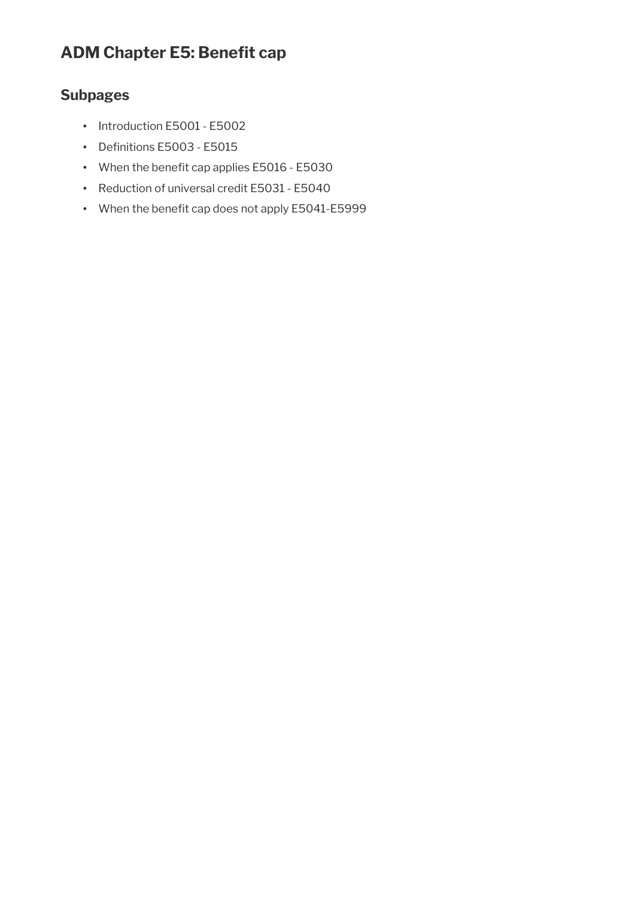# **ADM Chapter E5: Benefit cap**

# **Subpages**

- Introduction E5001 E5002
- Definitions E5003 E5015
- When the benefit cap applies E5016 E5030
- Reduction of universal credit E5031 E5040
- When the benefit cap does not apply E5041-E5999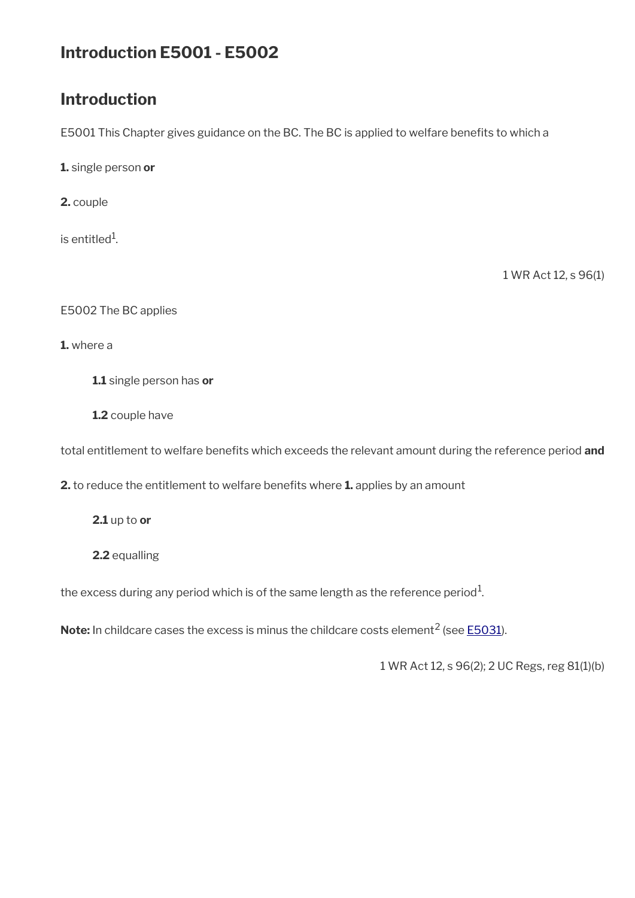# **Introduction E5001 - E5002**

# **Introduction**

E5001 This Chapter gives guidance on the BC. The BC is applied to welfare benefits to which a

**1.** single person **or**

**2.** couple

is entitled $^1$ .

1 WR Act 12, s 96(1)

E5002 The BC applies

**1.** where a

**1.1** single person has **or**

**1.2** couple have

total entitlement to welfare benefts which exceeds the relevant amount during the reference period **and**

**2.** to reduce the entitlement to welfare benefits where **1.** applies by an amount

**2.1** up to **or**

**2.2** equalling

the excess during any period which is of the same length as the reference period $^1\!$ 

**Note:** In childcare cases the excess is minus the childcare costs element<sup>2</sup> (see [E5031](https://intranet.dwp.gov.uk/manual/advice-decision-making-adm/reduction-universal-credit-e5031-e5040)).

1 WR Act 12, s 96(2); 2 UC Regs, reg 81(1)(b)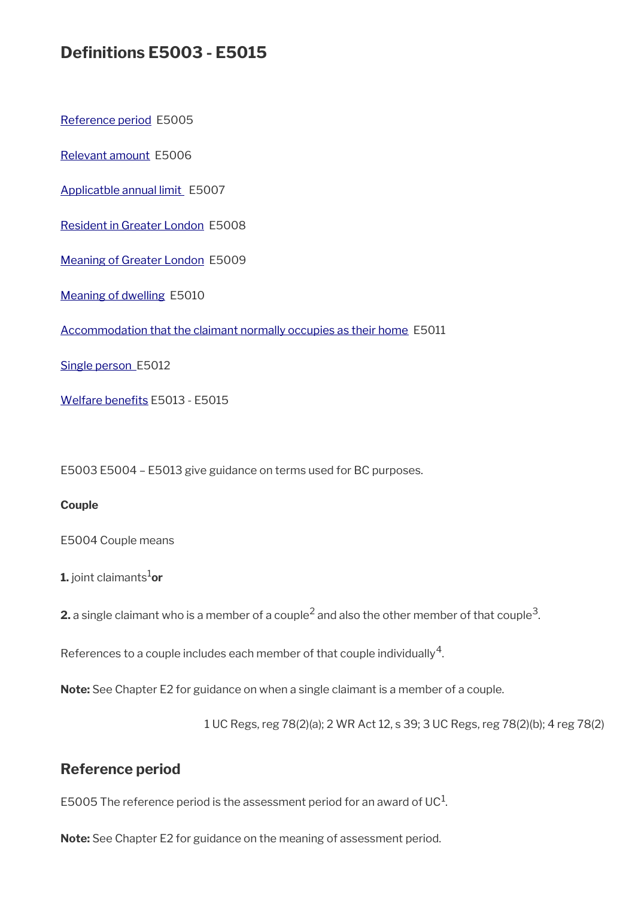# **Defnitions E5003 - E5015**

[Reference period](#page-2-0) E5005

[Relevant amount](#page-3-1) E5006

[Applicatble annual limit](#page-3-0) E5007

[Resident in Greater London](#page-4-2) E5008

[Meaning of Greater London](#page-4-1) E5009

[Meaning of dwelling](#page-4-0) E5010

[Accommodation that the claimant normally occupies as their home](#page-5-2) E5011

[Single person](#page-5-1) E5012

Welfare benefits E5013 - E5015

E5003 E5004 – E5013 give guidance on terms used for BC purposes.

#### **Couple**

E5004 Couple means

**1.** joint claimants<sup>1</sup>or

**2.** a single claimant who is a member of a couple<sup>2</sup> and also the other member of that couple<sup>3</sup>.

References to a couple includes each member of that couple individually<sup>4</sup>.

**Note:** See Chapter E2 for guidance on when a single claimant is a member of a couple.

1 UC Regs, reg 78(2)(a); 2 WR Act 12, s 39; 3 UC Regs, reg 78(2)(b); 4 reg 78(2)

# <span id="page-2-0"></span>**Reference period**

E5005 The reference period is the assessment period for an award of UC $^{\rm 1}$ .

**Note:** See Chapter E2 for guidance on the meaning of assessment period.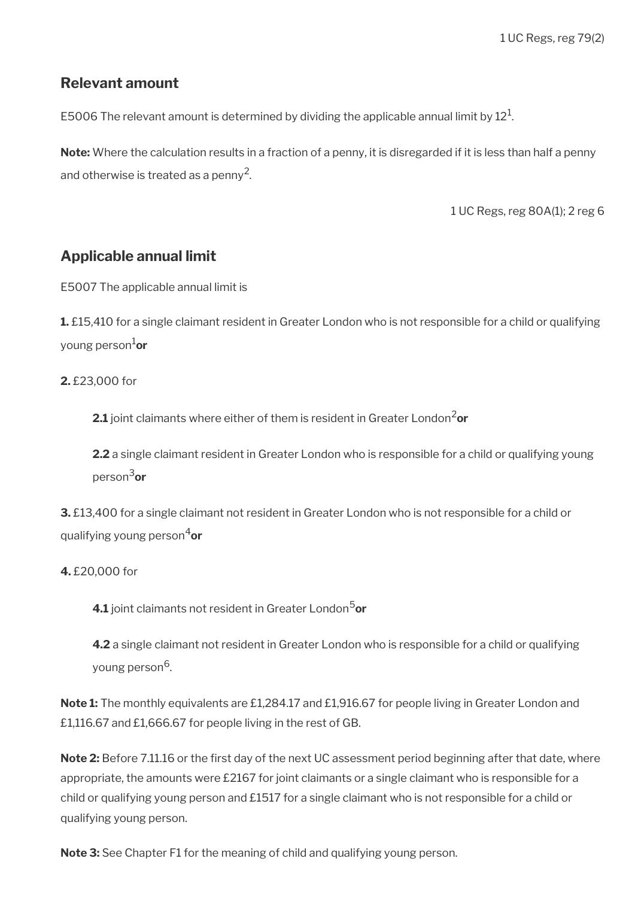## <span id="page-3-1"></span>**Relevant amount**

E5006 The relevant amount is determined by dividing the applicable annual limit by  $12^1$ .

**Note:** Where the calculation results in a fraction of a penny, it is disregarded if it is less than half a penny and otherwise is treated as a penny<sup>2</sup>.

1 UC Regs, reg 80A(1); 2 reg 6

# <span id="page-3-0"></span>**Applicable annual limit**

E5007 The applicable annual limit is

**1.** £15,410 for a single claimant resident in Greater London who is not responsible for a child or qualifying young person1**or**

## **2.** £23,000 for

**2.1** joint claimants where either of them is resident in Greater London<sup>2</sup>or

**2.2** a single claimant resident in Greater London who is responsible for a child or qualifying young person3**or**

**3.** £13,400 for a single claimant not resident in Greater London who is not responsible for a child or qualifying young person4**or**

## **4.** £20,000 for

**4.1** joint claimants not resident in Greater London<sup>5</sup>or

**4.2** a single claimant not resident in Greater London who is responsible for a child or qualifying young person<sup>6</sup>.

**Note 1:** The monthly equivalents are £1,284.17 and £1,916.67 for people living in Greater London and £1,116.67 and £1,666.67 for people living in the rest of GB.

Note 2: Before 7.11.16 or the first day of the next UC assessment period beginning after that date, where appropriate, the amounts were £2167 for joint claimants or a single claimant who is responsible for a child or qualifying young person and £1517 for a single claimant who is not responsible for a child or qualifying young person.

**Note 3:** See Chapter F1 for the meaning of child and qualifying young person.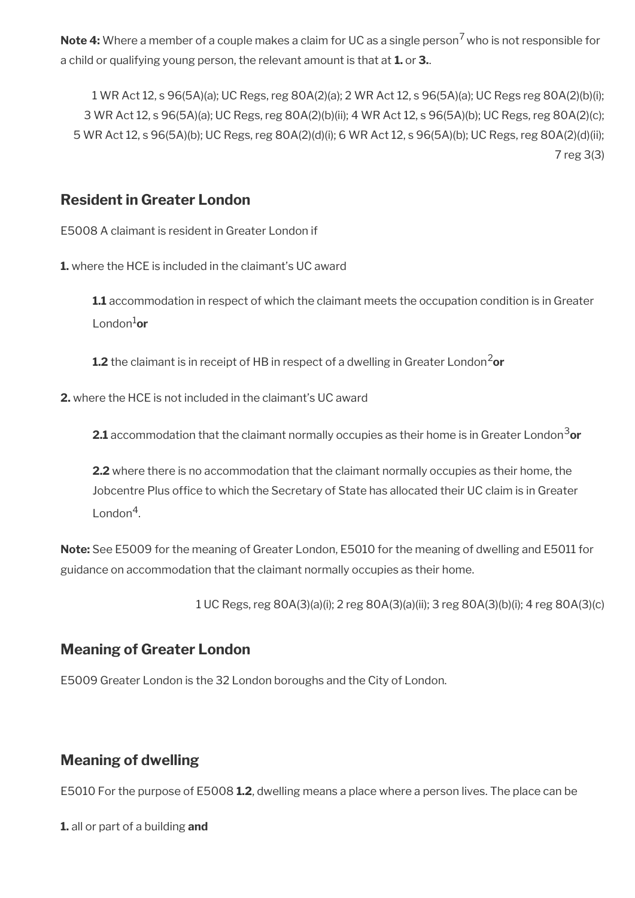**Note 4:** Where a member of a couple makes a claim for UC as a single person<sup>7</sup> who is not responsible for a child or qualifying young person, the relevant amount is that at **1.** or **3.**.

1 WR Act 12, s 96(5A)(a); UC Regs, reg 80A(2)(a); 2 WR Act 12, s 96(5A)(a); UC Regs reg 80A(2)(b)(i); 3 WR Act 12, s 96(5A)(a); UC Regs, reg 80A(2)(b)(ii); 4 WR Act 12, s 96(5A)(b); UC Regs, reg 80A(2)(c); 5 WR Act 12, s 96(5A)(b); UC Regs, reg 80A(2)(d)(i); 6 WR Act 12, s 96(5A)(b); UC Regs, reg 80A(2)(d)(ii); 7 reg 3(3)

# <span id="page-4-2"></span>**Resident in Greater London**

E5008 A claimant is resident in Greater London if

**1.** where the HCE is included in the claimant's UC award

**1.1** accommodation in respect of which the claimant meets the occupation condition is in Greater London1**or**

**1.2** the claimant is in receipt of HB in respect of a dwelling in Greater London<sup>2</sup>or

**2.** where the HCE is not included in the claimant's UC award

**2.1** accommodation that the claimant normally occupies as their home is in Greater London<sup>3</sup>or

**2.2** where there is no accommodation that the claimant normally occupies as their home, the Jobcentre Plus office to which the Secretary of State has allocated their UC claim is in Greater London<sup>4</sup>.

**Note:** See E5009 for the meaning of Greater London, E5010 for the meaning of dwelling and E5011 for guidance on accommodation that the claimant normally occupies as their home.

1 UC Regs, reg 80A(3)(a)(i); 2 reg 80A(3)(a)(ii); 3 reg 80A(3)(b)(i); 4 reg 80A(3)(c)

# <span id="page-4-1"></span>**Meaning of Greater London**

E5009 Greater London is the 32 London boroughs and the City of London.

# <span id="page-4-0"></span>**Meaning of dwelling**

E5010 For the purpose of E5008 **1.2**, dwelling means a place where a person lives. The place can be

**1.** all or part of a building **and**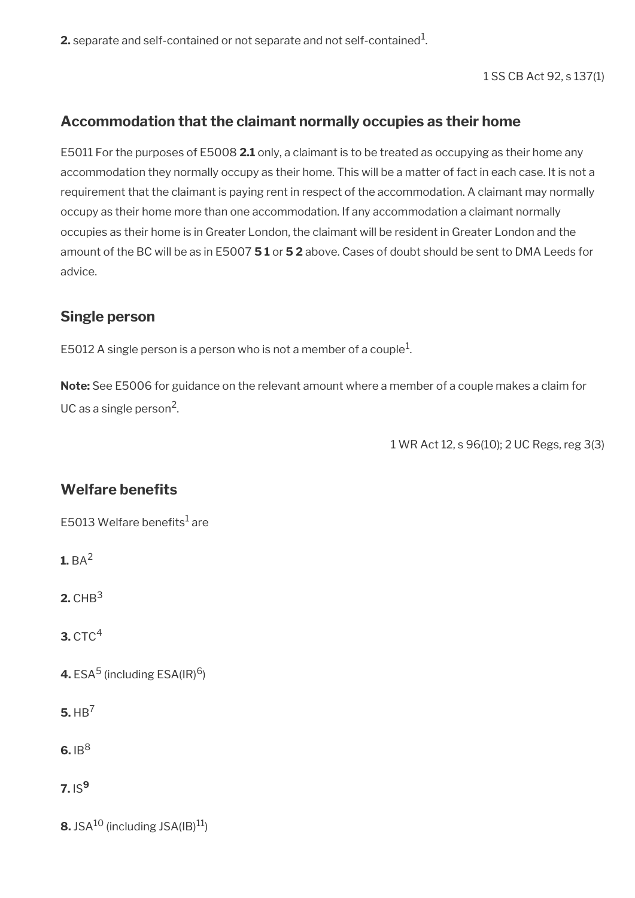$\mathbf 2$ . separate and self-contained or not separate and not self-contained $^1$ .

1 SS CB Act 92, s 137(1)

# <span id="page-5-2"></span>**Accommodation that the claimant normally occupies as their home**

E5011 For the purposes of E5008 **2.1** only, a claimant is to be treated as occupying as their home any accommodation they normally occupy as their home. This will be a matter of fact in each case. It is not a requirement that the claimant is paying rent in respect of the accommodation. A claimant may normally occupy as their home more than one accommodation. If any accommodation a claimant normally occupies as their home is in Greater London, the claimant will be resident in Greater London and the amount of the BC will be as in E5007 **5 1** or **5 2** above. Cases of doubt should be sent to DMA Leeds for advice.

# <span id="page-5-1"></span>**Single person**

E5012 A single person is a person who is not a member of a couple $^1\!$ 

**Note:** See E5006 for guidance on the relevant amount where a member of a couple makes a claim for UC as a single person<sup>2</sup>.

1 WR Act 12, s 96(10); 2 UC Regs, reg 3(3)

# <span id="page-5-0"></span>**Welfare benefits**

E5013 Welfare benefits $^1$  are

**1.** BA<sup>2</sup>

**2.** CHB<sup>3</sup>

**3.** CTC<sup>4</sup>

**4.** ESA<sup>5</sup> (including ESA(IR)<sup>6</sup>)

**5.** HB<sup>7</sup>

 $6.1B<sup>8</sup>$ 

**7.** IS**<sup>9</sup>**

**8.** JSA $^{10}$  (including JSA $(\text{IB})^{11}$ )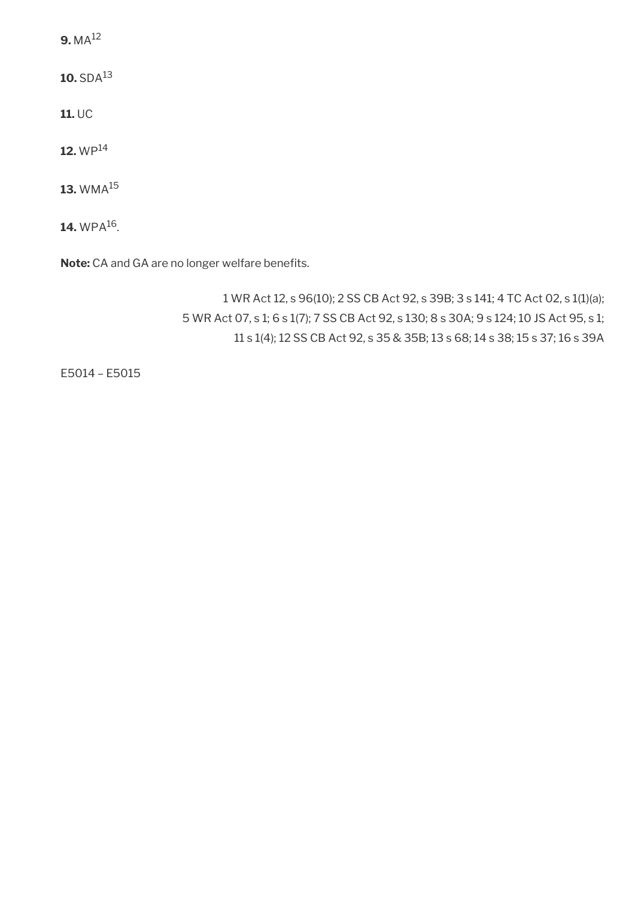**9.** MA<sup>12</sup>

**10.** SDA<sup>13</sup>

**11.** UC

**12.** WP<sup>14</sup>

**13.** WMA<sup>15</sup>

 $14.$  WPA $^{16}$ .

Note: CA and GA are no longer welfare benefits.

1 WR Act 12, s 96(10); 2 SS CB Act 92, s 39B; 3 s 141; 4 TC Act 02, s 1(1)(a); 5 WR Act 07, s 1; 6 s 1(7); 7 SS CB Act 92, s 130; 8 s 30A; 9 s 124; 10 JS Act 95, s 1; 11 s 1(4); 12 SS CB Act 92, s 35 & 35B; 13 s 68; 14 s 38; 15 s 37; 16 s 39A

E5014 – E5015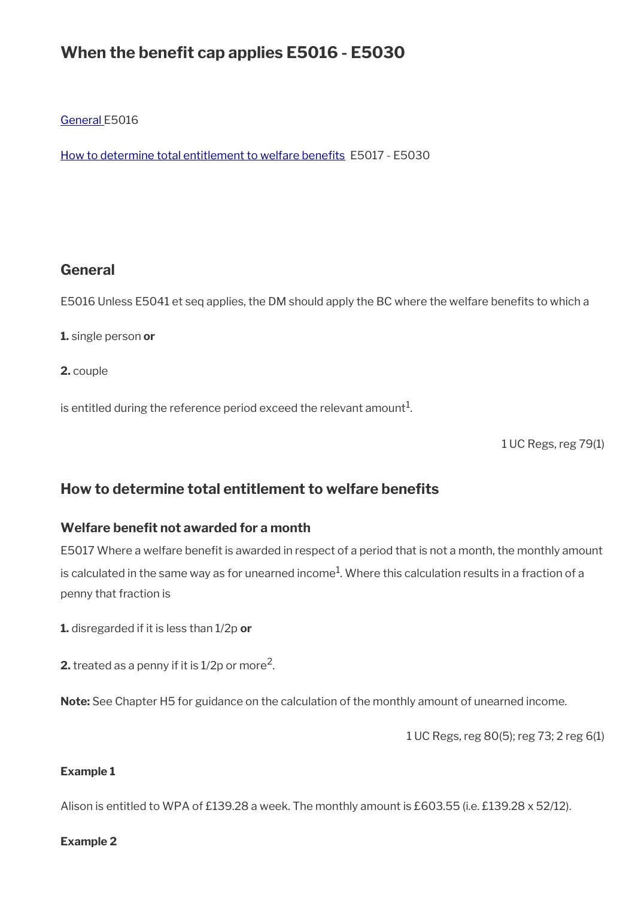# When the benefit cap applies **E5016 - E5030**

[General](#page-7-1) E5016

How to determine total entitlement to welfare benefits E5017 - E5030

## <span id="page-7-1"></span>**General**

E5016 Unless E5041 et seq applies, the DM should apply the BC where the welfare benefits to which a

**1.** single person **or**

**2.** couple

is entitled during the reference period exceed the relevant amount $^1$ .

1 UC Regs, reg 79(1)

## <span id="page-7-0"></span>**How to determine total entitlement to welfare benefits**

## **Welfare benefit not awarded for a month**

E5017 Where a welfare benefit is awarded in respect of a period that is not a month, the monthly amount is calculated in the same way as for unearned income $^1$ . Where this calculation results in a fraction of a penny that fraction is

**1.** disregarded if it is less than 1/2p **or**

**2.** treated as a penny if it is 1/2p or more<sup>2</sup>.

**Note:** See Chapter H5 for guidance on the calculation of the monthly amount of unearned income.

1 UC Regs, reg 80(5); reg 73; 2 reg 6(1)

#### **Example 1**

Alison is entitled to WPA of £139.28 a week. The monthly amount is £603.55 (i.e. £139.28 x 52/12).

#### **Example 2**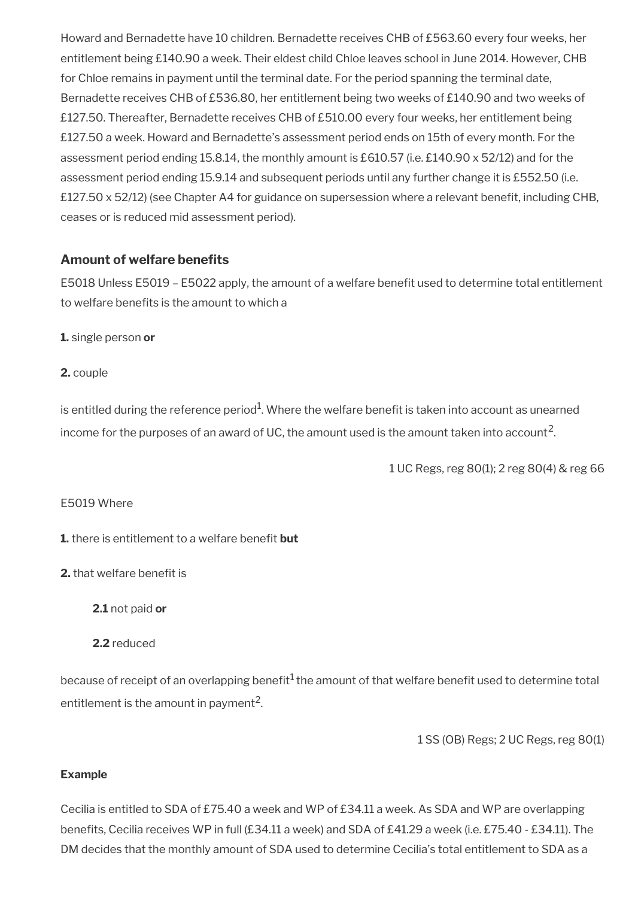Howard and Bernadette have 10 children. Bernadette receives CHB of £563.60 every four weeks, her entitlement being £140.90 a week. Their eldest child Chloe leaves school in June 2014. However, CHB for Chloe remains in payment until the terminal date. For the period spanning the terminal date, Bernadette receives CHB of £536.80, her entitlement being two weeks of £140.90 and two weeks of £127.50. Thereafter, Bernadette receives CHB of £510.00 every four weeks, her entitlement being £127.50 a week. Howard and Bernadette's assessment period ends on 15th of every month. For the assessment period ending 15.8.14, the monthly amount is £610.57 (i.e. £140.90 x 52/12) and for the assessment period ending 15.9.14 and subsequent periods until any further change it is £552.50 (i.e. £127.50 x 52/12) (see Chapter A4 for guidance on supersession where a relevant beneft, including CHB, ceases or is reduced mid assessment period).

## **Amount of welfare benefits**

E5018 Unless E5019 - E5022 apply, the amount of a welfare benefit used to determine total entitlement to welfare benefits is the amount to which a

**1.** single person **or**

**2.** couple

is entitled during the reference period $^1$ . Where the welfare benefit is taken into account as unearned income for the purposes of an award of UC, the amount used is the amount taken into account<sup>2</sup>.

1 UC Regs, reg 80(1); 2 reg 80(4) & reg 66

## E5019 Where

**1.** there is entitlement to a welfare benefit **but** 

## **2.** that welfare benefit is

**2.1** not paid **or**

## **2.2** reduced

because of receipt of an overlapping benefit<sup>1</sup> the amount of that welfare benefit used to determine total entitlement is the amount in payment<sup>2</sup>.

1 SS (OB) Regs; 2 UC Regs, reg 80(1)

## **Example**

Cecilia is entitled to SDA of £75.40 a week and WP of £34.11 a week. As SDA and WP are overlapping benefits, Cecilia receives WP in full (£34.11 a week) and SDA of £41.29 a week (i.e. £75.40 - £34.11). The DM decides that the monthly amount of SDA used to determine Cecilia's total entitlement to SDA as a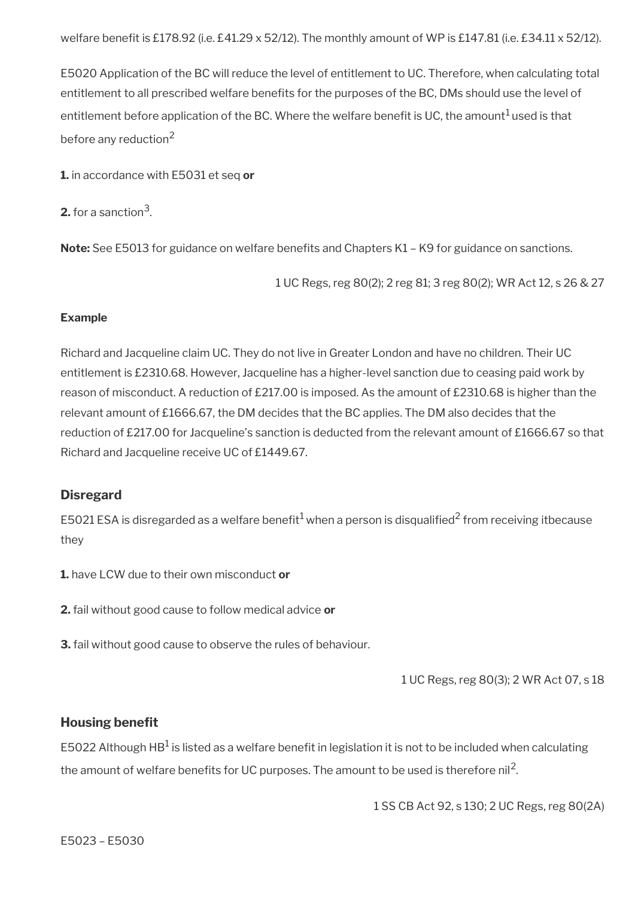E5020 Application of the BC will reduce the level of entitlement to UC. Therefore, when calculating total entitlement to all prescribed welfare benefits for the purposes of the BC, DMs should use the level of entitlement before application of the BC. Where the welfare benefit is UC, the amount<sup>1</sup> used is that before any reduction<sup>2</sup>

**1.** in accordance with E5031 et seq **or**

**2.** for a sanction $^3$ .

**Note:** See E5013 for guidance on welfare benefits and Chapters K1 – K9 for guidance on sanctions.

1 UC Regs, reg 80(2); 2 reg 81; 3 reg 80(2); WR Act 12, s 26 & 27

#### **Example**

Richard and Jacqueline claim UC. They do not live in Greater London and have no children. Their UC entitlement is £2310.68. However, Jacqueline has a higher-level sanction due to ceasing paid work by reason of misconduct. A reduction of £217.00 is imposed. As the amount of £2310.68 is higher than the relevant amount of £1666.67, the DM decides that the BC applies. The DM also decides that the reduction of £217.00 for Jacqueline's sanction is deducted from the relevant amount of £1666.67 so that Richard and Jacqueline receive UC of £1449.67.

#### **Disregard**

E5021 ESA is disregarded as a welfare benefit $^1$  when a person is disqualified $^2$  from receiving itbecause they

**1.** have LCW due to their own misconduct **or**

**2.** fail without good cause to follow medical advice **or**

**3.** fail without good cause to observe the rules of behaviour.

1 UC Regs, reg 80(3); 2 WR Act 07, s 18

#### **Housing benefit**

E5022 Although HB $^1$  is listed as a welfare benefit in legislation it is not to be included when calculating the amount of welfare benefits for UC purposes. The amount to be used is therefore nil<sup>2</sup>.

1 SS CB Act 92, s 130; 2 UC Regs, reg 80(2A)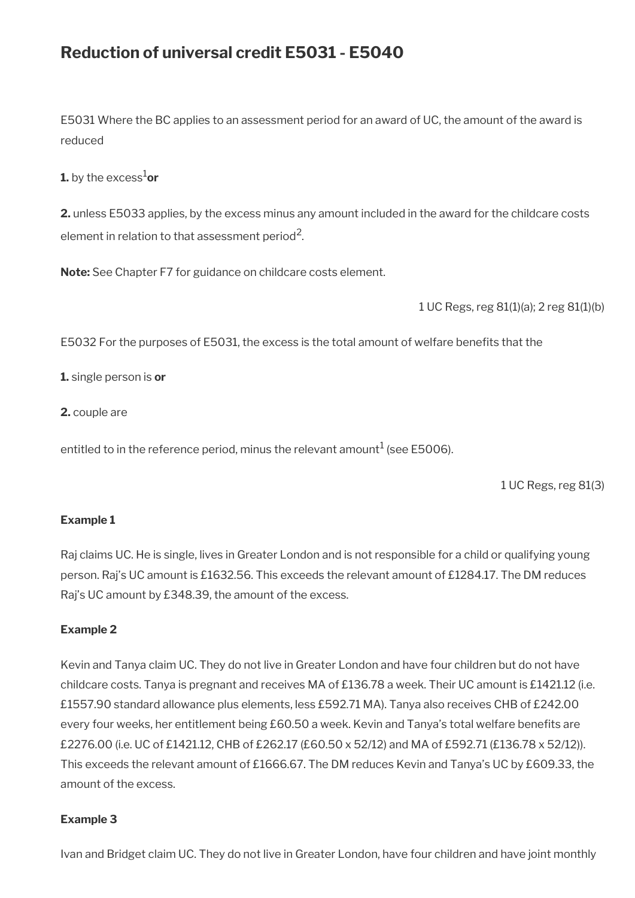# **Reduction of universal credit E5031 - E5040**

E5031 Where the BC applies to an assessment period for an award of UC, the amount of the award is reduced

**1.** by the excess<sup>1</sup>or

**2.** unless E5033 applies, by the excess minus any amount included in the award for the childcare costs element in relation to that assessment period<sup>2</sup>.

**Note:** See Chapter F7 for guidance on childcare costs element.

1 UC Regs, reg 81(1)(a); 2 reg 81(1)(b)

E5032 For the purposes of E5031, the excess is the total amount of welfare benefts that the

**1.** single person is **or**

**2.** couple are

entitled to in the reference period, minus the relevant amount $^1$  (see E5006).

1 UC Regs, reg 81(3)

#### **Example 1**

Raj claims UC. He is single, lives in Greater London and is not responsible for a child or qualifying young person. Raj's UC amount is £1632.56. This exceeds the relevant amount of £1284.17. The DM reduces Raj's UC amount by £348.39, the amount of the excess.

#### **Example 2**

Kevin and Tanya claim UC. They do not live in Greater London and have four children but do not have childcare costs. Tanya is pregnant and receives MA of £136.78 a week. Their UC amount is £1421.12 (i.e. £1557.90 standard allowance plus elements, less £592.71 MA). Tanya also receives CHB of £242.00 every four weeks, her entitlement being £60.50 a week. Kevin and Tanya's total welfare benefts are £2276.00 (i.e. UC of £1421.12, CHB of £262.17 (£60.50 x 52/12) and MA of £592.71 (£136.78 x 52/12)). This exceeds the relevant amount of £1666.67. The DM reduces Kevin and Tanya's UC by £609.33, the amount of the excess.

#### **Example 3**

Ivan and Bridget claim UC. They do not live in Greater London, have four children and have joint monthly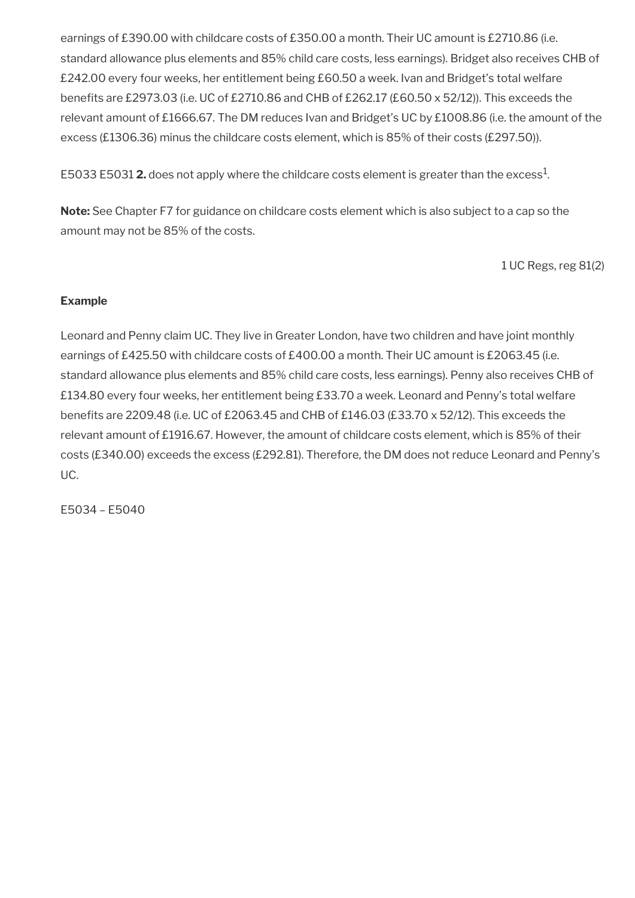earnings of £390.00 with childcare costs of £350.00 a month. Their UC amount is £2710.86 (i.e. standard allowance plus elements and 85% child care costs, less earnings). Bridget also receives CHB of £242.00 every four weeks, her entitlement being £60.50 a week. Ivan and Bridget's total welfare benefts are £2973.03 (i.e. UC of £2710.86 and CHB of £262.17 (£60.50 x 52/12)). This exceeds the relevant amount of £1666.67. The DM reduces Ivan and Bridget's UC by £1008.86 (i.e. the amount of the excess (£1306.36) minus the childcare costs element, which is 85% of their costs (£297.50)).

E5033 E5031  $\mathbf{2}.$  does not apply where the childcare costs element is greater than the excess $^1$ .

**Note:** See Chapter F7 for guidance on childcare costs element which is also subject to a cap so the amount may not be 85% of the costs.

1 UC Regs, reg 81(2)

## **Example**

Leonard and Penny claim UC. They live in Greater London, have two children and have joint monthly earnings of £425.50 with childcare costs of £400.00 a month. Their UC amount is £2063.45 (i.e. standard allowance plus elements and 85% child care costs, less earnings). Penny also receives CHB of £134.80 every four weeks, her entitlement being £33.70 a week. Leonard and Penny's total welfare benefts are 2209.48 (i.e. UC of £2063.45 and CHB of £146.03 (£33.70 x 52/12). This exceeds the relevant amount of £1916.67. However, the amount of childcare costs element, which is 85% of their costs (£340.00) exceeds the excess (£292.81). Therefore, the DM does not reduce Leonard and Penny's UC.

E5034 – E5040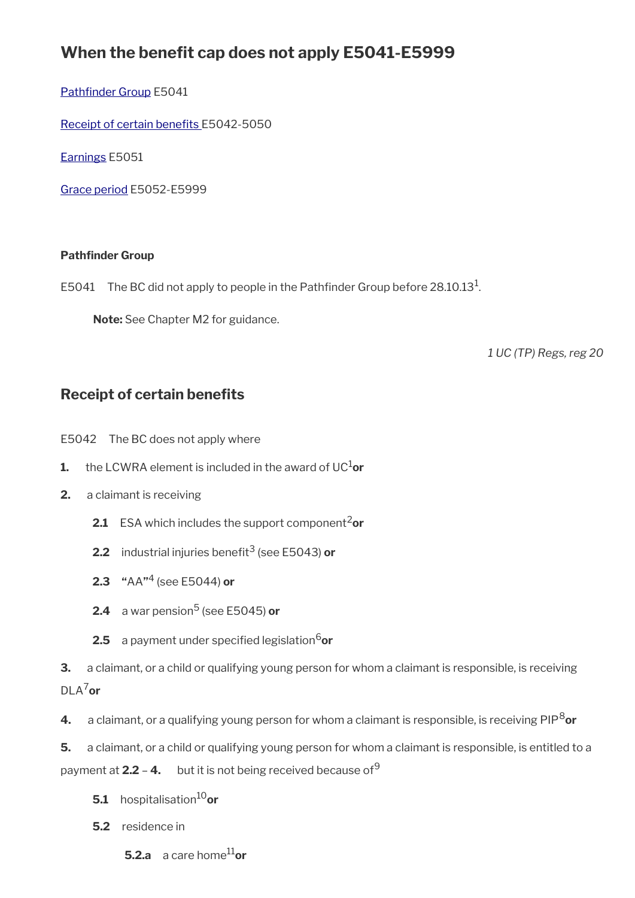# **When the benefit cap does not apply E5041-E5999**

Pathfinder Group E5041

Receipt of certain benefits E5042-5050

[Earnings](#page-15-0) E5051

[Grace period](#page-16-0) E5052-E5999

### <span id="page-13-1"></span>**Pathfinder Group**

E5041 The BC did not apply to people in the Pathfinder Group before 28.10.13<sup>1</sup>.

**Note:** See Chapter M2 for guidance.

*1 UC (TP) Regs, reg 20*

# <span id="page-13-0"></span>**Receipt of certain benefits**

E5042 The BC does not apply where

- **1.** the LCWRA element is included in the award of UC $^{1}$ or
- **2.** a claimant is receiving
	- **2.1** ESA which includes the support component<sup>2</sup>or
	- **2.2** industrial injuries benefit<sup>3</sup> (see E5043) **or**
	- **2.3 "**AA**"** 4 (see E5044) **or**
	- **2.4** a war pension<sup>5</sup> (see E5045) **or**
	- **2.5** a payment under specified legislation<sup>6</sup>or

**3.** a claimant, or a child or qualifying young person for whom a claimant is responsible, is receiving DLA7**or**

**4.** a claimant, or a qualifying young person for whom a claimant is responsible, is receiving PIP8**or**

**5.** a claimant, or a child or qualifying young person for whom a claimant is responsible, is entitled to a payment at **2.2 - 4.** but it is not being received because of<sup>9</sup>

- **5.1** hospitalisation<sup>10</sup>or
- **5.2** residence in
	- **5.2.a** a care home11**or**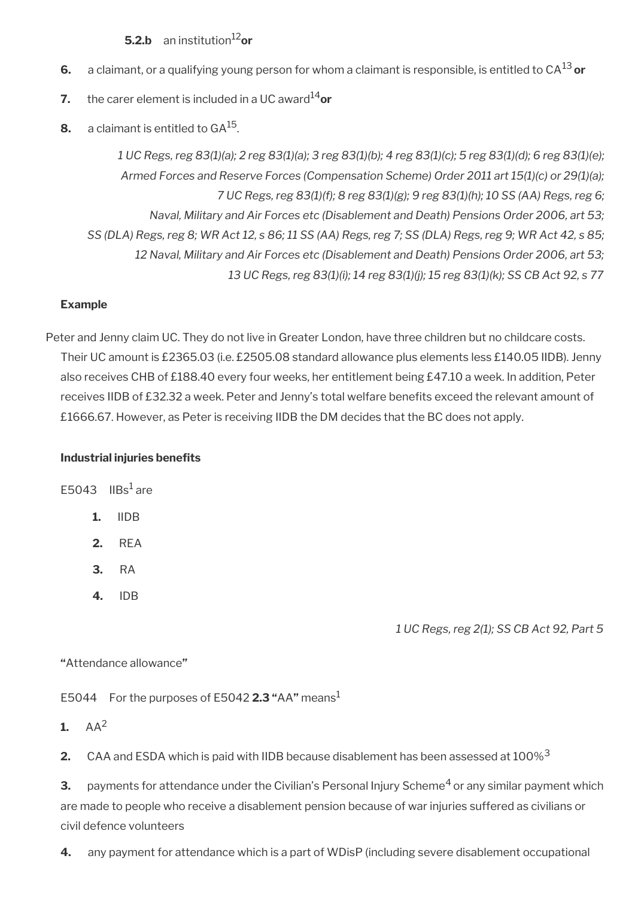## **5.2.b** an institution<sup>12</sup>or

- **6.** a claimant, or a qualifying young person for whom a claimant is responsible, is entitled to CA13 **or**
- **7.** the carer element is included in a UC award<sup>14</sup>or
- **8.**  $\,$  a claimant is entitled to GA $^{15}$ .

*1 UC Regs, reg 83(1)(a); 2 reg 83(1)(a); 3 reg 83(1)(b); 4 reg 83(1)(c); 5 reg 83(1)(d); 6 reg 83(1)(e); Armed Forces and Reserve Forces (Compensation Scheme) Order 2011 art 15(1)(c) or 29(1)(a); 7 UC Regs, reg 83(1)(f); 8 reg 83(1)(g); 9 reg 83(1)(h); 10 SS (AA) Regs, reg 6; Naval, Military and Air Forces etc (Disablement and Death) Pensions Order 2006, art 53; SS (DLA) Regs, reg 8; WR Act 12, s 86; 11 SS (AA) Regs, reg 7; SS (DLA) Regs, reg 9; WR Act 42, s 85; 12 Naval, Military and Air Forces etc (Disablement and Death) Pensions Order 2006, art 53; 13 UC Regs, reg 83(1)(i); 14 reg 83(1)(j); 15 reg 83(1)(k); SS CB Act 92, s 77*

## **Example**

Peter and Jenny claim UC. They do not live in Greater London, have three children but no childcare costs. Their UC amount is £2365.03 (i.e. £2505.08 standard allowance plus elements less £140.05 IIDB). Jenny also receives CHB of £188.40 every four weeks, her entitlement being £47.10 a week. In addition, Peter receives IIDB of £32.32 a week. Peter and Jenny's total welfare benefts exceed the relevant amount of £1666.67. However, as Peter is receiving IIDB the DM decides that the BC does not apply.

#### **Industrial injuries benefits**

E5043 IIBs $^1$ are

- **1.** IIDB
- **2.** REA
- **3.** RA
- **4.** IDB

*1 UC Regs, reg 2(1); SS CB Act 92, Part 5*

#### **"**Attendance allowance**"**

E5044 For the purposes of E5042 **2.3 "**AA**"** means<sup>1</sup>

1.  $AA^2$ 

**2.** CAA and ESDA which is paid with IIDB because disablement has been assessed at 100%<sup>3</sup>

**3.** payments for attendance under the Civilian's Personal Injury Scheme<sup>4</sup> or any similar payment which are made to people who receive a disablement pension because of war injuries suffered as civilians or civil defence volunteers

**4.** any payment for attendance which is a part of WDisP (including severe disablement occupational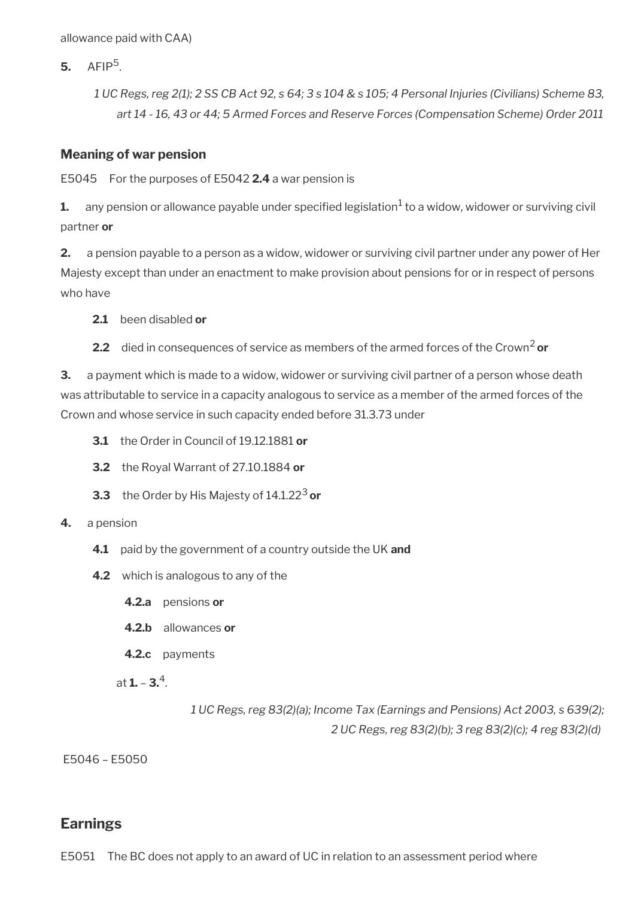allowance paid with CAA)

**5.** AFIP<sup>5</sup> .

*1 UC Regs, reg 2(1); 2 SS CB Act 92, s 64; 3 s 104 & s 105; 4 Personal Injuries (Civilians) Scheme 83, art 14 - 16, 43 or 44; 5 Armed Forces and Reserve Forces (Compensation Scheme) Order 2011*

### **Meaning of war pension**

E5045 For the purposes of E5042 **2.4** a war pension is

 ${\bf 1.} \quad$  any pension or allowance payable under specified legislation $^1$  to a widow, widower or surviving civil partner **or**

**2.** a pension payable to a person as a widow, widower or surviving civil partner under any power of Her Majesty except than under an enactment to make provision about pensions for or in respect of persons who have

**2.1** been disabled **or**

**2.2** died in consequences of service as members of the armed forces of the Crown<sup>2</sup> or

**3.** a payment which is made to a widow, widower or surviving civil partner of a person whose death was attributable to service in a capacity analogous to service as a member of the armed forces of the Crown and whose service in such capacity ended before 31.3.73 under

- **3.1** the Order in Council of 19.12.1881 **or**
- **3.2** the Royal Warrant of 27.10.1884 **or**
- **3.3** the Order by His Majesty of 14.1.22<sup>3</sup> or

#### **4.** a pension

- **4.1** paid by the government of a country outside the UK **and**
- **4.2** which is analogous to any of the
	- **4.2.a** pensions **or**
	- **4.2.b** allowances **or**
	- **4.2.c** payments

at **1.** – **3.**<sup>4</sup> .

*1 UC Regs, reg 83(2)(a); Income Tax (Earnings and Pensions) Act 2003, s 639(2); 2 UC Regs, reg 83(2)(b); 3 reg 83(2)(c); 4 reg 83(2)(d)* 

E5046 – E5050

## <span id="page-15-0"></span>**Earnings**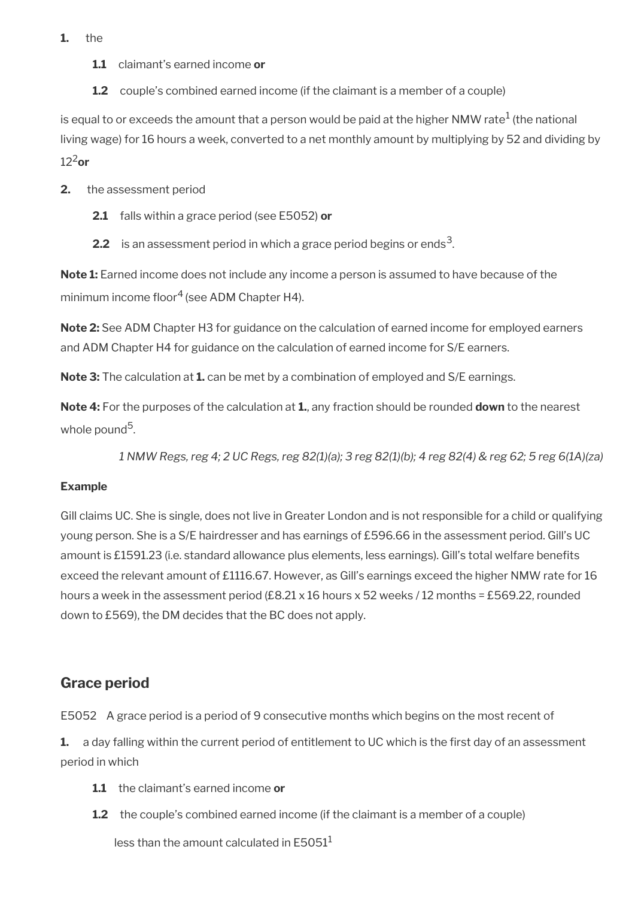- **1.** the
	- **1.1** claimant's earned income **or**
	- **1.2** couple's combined earned income (if the claimant is a member of a couple)

is equal to or exceeds the amount that a person would be paid at the higher NMW rate $^1$  (the national living wage) for 16 hours a week, converted to a net monthly amount by multiplying by 52 and dividing by  $12<sup>2</sup>$ or

- **2.** the assessment period
	- **2.1** falls within a grace period (see E5052) **or**
	- **2.2** is an assessment period in which a grace period begins or ends<sup>3</sup>.

**Note 1:** Earned income does not include any income a person is assumed to have because of the minimum income floor<sup>4</sup> (see ADM Chapter H4).

**Note 2:** See ADM Chapter H3 for guidance on the calculation of earned income for employed earners and ADM Chapter H4 for guidance on the calculation of earned income for S/E earners.

**Note 3:** The calculation at **1.** can be met by a combination of employed and S/E earnings.

**Note 4:** For the purposes of the calculation at **1.**, any fraction should be rounded **down** to the nearest whole pound<sup>5</sup>.

*1 NMW Regs, reg 4; 2 UC Regs, reg 82(1)(a); 3 reg 82(1)(b); 4 reg 82(4) & reg 62; 5 reg 6(1A)(za)*

## **Example**

Gill claims UC. She is single, does not live in Greater London and is not responsible for a child or qualifying young person. She is a S/E hairdresser and has earnings of £596.66 in the assessment period. Gill's UC amount is £1591.23 (i.e. standard allowance plus elements, less earnings). Gill's total welfare benefts exceed the relevant amount of £1116.67. However, as Gill's earnings exceed the higher NMW rate for 16 hours a week in the assessment period  $(E8.21 \times 16$  hours x 52 weeks / 12 months = £569.22, rounded down to £569), the DM decides that the BC does not apply.

## <span id="page-16-0"></span>**Grace period**

E5052 A grace period is a period of 9 consecutive months which begins on the most recent of

**1.** a day falling within the current period of entitlement to UC which is the first day of an assessment period in which

- **1.1** the claimant's earned income **or**
- **1.2** the couple's combined earned income (if the claimant is a member of a couple)

less than the amount calculated in  $E$ 5051<sup>1</sup>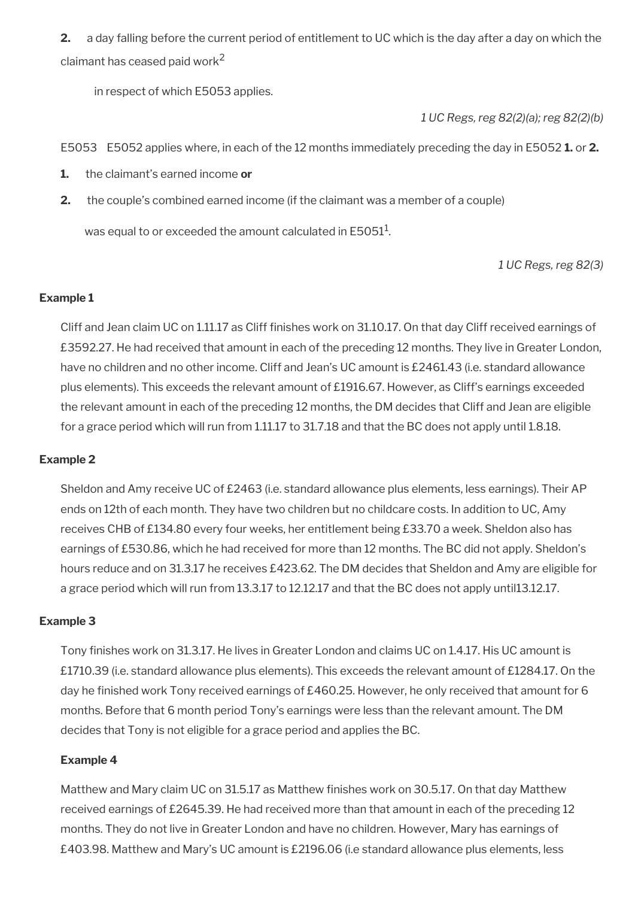**2.** a day falling before the current period of entitlement to UC which is the day after a day on which the claimant has ceased paid work $^2$ 

in respect of which E5053 applies.

*1 UC Regs, reg 82(2)(a); reg 82(2)(b)*

E5053 E5052 applies where, in each of the 12 months immediately preceding the day in E5052 **1.** or **2.**

- **1.** the claimant's earned income **or**
- **2.** the couple's combined earned income (if the claimant was a member of a couple)

was equal to or exceeded the amount calculated in E5051<sup>1</sup>.

*1 UC Regs, reg 82(3)*

### **Example 1**

Cliff and Jean claim UC on 1.11.17 as Cliff finishes work on 31.10.17. On that day Cliff received earnings of £3592.27. He had received that amount in each of the preceding 12 months. They live in Greater London, have no children and no other income. Cliff and Jean's UC amount is £2461.43 (i.e. standard allowance plus elements). This exceeds the relevant amount of £1916.67. However, as Cliff's earnings exceeded the relevant amount in each of the preceding 12 months, the DM decides that Cliff and Jean are eligible for a grace period which will run from 1.11.17 to 31.7.18 and that the BC does not apply until 1.8.18.

#### **Example 2**

Sheldon and Amy receive UC of £2463 (i.e. standard allowance plus elements, less earnings). Their AP ends on 12th of each month. They have two children but no childcare costs. In addition to UC, Amy receives CHB of £134.80 every four weeks, her entitlement being £33.70 a week. Sheldon also has earnings of £530.86, which he had received for more than 12 months. The BC did not apply. Sheldon's hours reduce and on 31.3.17 he receives £423.62. The DM decides that Sheldon and Amy are eligible for a grace period which will run from 13.3.17 to 12.12.17 and that the BC does not apply until13.12.17.

#### **Example 3**

Tony finishes work on 31.3.17. He lives in Greater London and claims UC on 1.4.17. His UC amount is £1710.39 (i.e. standard allowance plus elements). This exceeds the relevant amount of £1284.17. On the day he finished work Tony received earnings of £460.25. However, he only received that amount for 6 months. Before that 6 month period Tony's earnings were less than the relevant amount. The DM decides that Tony is not eligible for a grace period and applies the BC.

## **Example 4**

Matthew and Mary claim UC on 31.5.17 as Matthew fnishes work on 30.5.17. On that day Matthew received earnings of £2645.39. He had received more than that amount in each of the preceding 12 months. They do not live in Greater London and have no children. However, Mary has earnings of £403.98. Matthew and Mary's UC amount is £2196.06 (i.e standard allowance plus elements, less